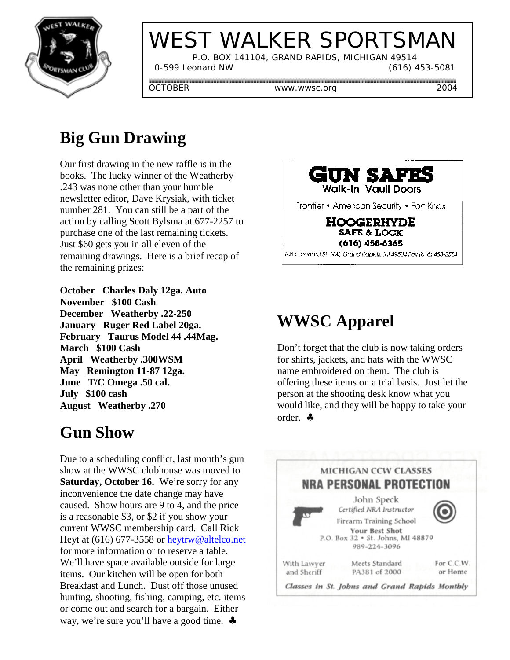

# WEST WALKER SPORTSMAN

P.O. BOX 141104, GRAND RAPIDS, MICHIGAN 49514

0-599 Leonard NW (616) 453-5081

OCTOBER www.wwsc.org 2004

## **Big Gun Drawing**

Our first drawing in the new raffle is in the books. The lucky winner of the Weatherby .243 was none other than your humble newsletter editor, Dave Krysiak, with ticket number 281. You can still be a part of the action by calling Scott Bylsma at 677-2257 to purchase one of the last remaining tickets. Just \$60 gets you in all eleven of the remaining drawings. Here is a brief recap of the remaining prizes:

**October Charles Daly 12ga. Auto November \$100 Cash December Weatherby .22-250 January Ruger Red Label 20ga. February Taurus Model 44 .44Mag. March \$100 Cash April Weatherby .300WSM May Remington 11-87 12ga. June T/C Omega .50 cal. July \$100 cash August Weatherby .270**

#### **Gun Show**

Due to a scheduling conflict, last month's gun show at the WWSC clubhouse was moved to **Saturday, October 16.** We're sorry for any inconvenience the date change may have caused. Show hours are 9 to 4, and the price is a reasonable \$3, or \$2 if you show your current WWSC membership card. Call Rick Heyt at (616) 677-3558 or heytrw@altelco.net for more information or to reserve a table. We'll have space available outside for large items. Our kitchen will be open for both Breakfast and Lunch. Dust off those unused hunting, shooting, fishing, camping, etc. items or come out and search for a bargain. Either way, we're sure you'll have a good time. ♣



**HOOGERHYDE SAFE & LOCK**  $(616)$  458-6365

1033 Leonard St. NW, Grand Rapids, MI 49504 Fax (616) 458-2554

## **WWSC Apparel**

Don't forget that the club is now taking orders for shirts, jackets, and hats with the WWSC name embroidered on them. The club is offering these items on a trial basis. Just let the person at the shooting desk know what you would like, and they will be happy to take your order. ♣

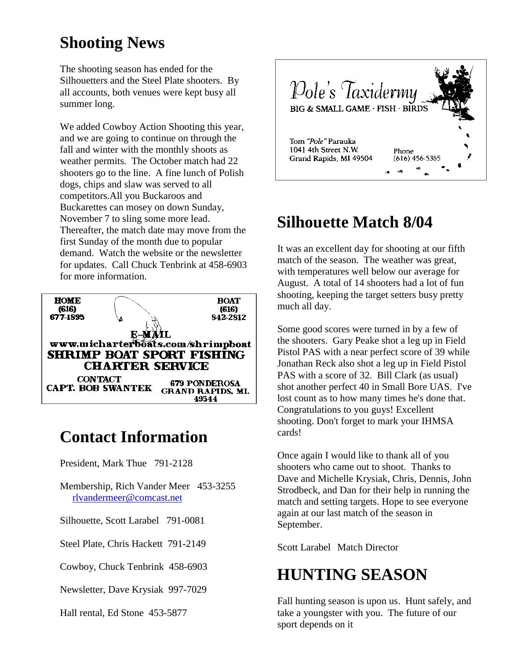#### **Shooting News**

The shooting season has ended for the Silhouetters and the Steel Plate shooters. By all accounts, both venues were kept busy all summer long.

We added Cowboy Action Shooting this year, and we are going to continue on through the fall and winter with the monthly shoots as weather permits. The October match had 22 shooters go to the line. A fine lunch of Polish dogs, chips and slaw was served to all competitors.All you Buckaroos and Buckarettes can mosey on down Sunday, November 7 to sling some more lead. Thereafter, the match date may move from the first Sunday of the month due to popular demand. Watch the website or the newsletter for updates. Call Chuck Tenbrink at 458-6903 for more information.



## **Contact Information**

President, Mark Thue 791-2128

Membership, Rich Vander Meer 453-3255 rlvandermeer@comcast.net

Silhouette, Scott Larabel 791-0081

Steel Plate, Chris Hackett 791-2149

Cowboy, Chuck Tenbrink 458-6903

Newsletter, Dave Krysiak 997-7029

Hall rental, Ed Stone 453-5877



## **Silhouette Match 8/04**

It was an excellent day for shooting at our fifth match of the season. The weather was great, with temperatures well below our average for August. A total of 14 shooters had a lot of fun shooting, keeping the target setters busy pretty much all day.

Some good scores were turned in by a few of the shooters. Gary Peake shot a leg up in Field Pistol PAS with a near perfect score of 39 while Jonathan Reck also shot a leg up in Field Pistol PAS with a score of 32. Bill Clark (as usual) shot another perfect 40 in Small Bore UAS. I've lost count as to how many times he's done that. Congratulations to you guys! Excellent shooting. Don't forget to mark your IHMSA cards!

Once again I would like to thank all of you shooters who came out to shoot. Thanks to Dave and Michelle Krysiak, Chris, Dennis, John Strodbeck, and Dan for their help in running the match and setting targets. Hope to see everyone again at our last match of the season in September.

Scott Larabel Match Director

#### **HUNTING SEASON**

Fall hunting season is upon us. Hunt safely, and take a youngster with you. The future of our sport depends on it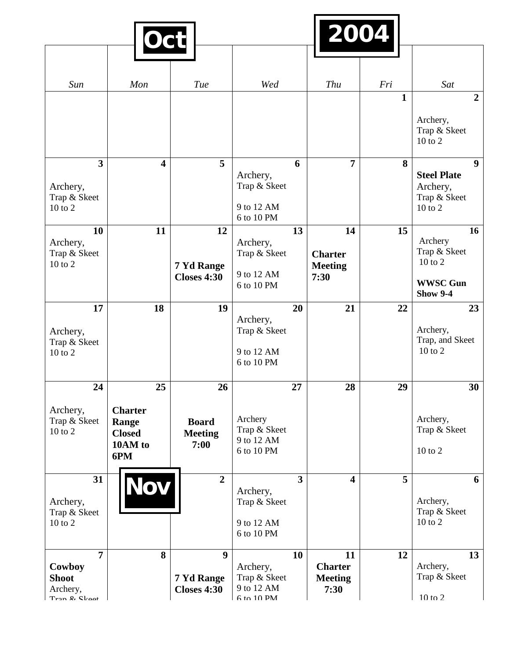|                                                                                                      | <b>Oct</b>                                                       |                                                      |                                                        |                | 2004                                           |              |                                                                                 |
|------------------------------------------------------------------------------------------------------|------------------------------------------------------------------|------------------------------------------------------|--------------------------------------------------------|----------------|------------------------------------------------|--------------|---------------------------------------------------------------------------------|
|                                                                                                      |                                                                  |                                                      |                                                        |                |                                                |              |                                                                                 |
| Sun                                                                                                  | Mon                                                              | Tue                                                  | Wed                                                    |                | Thu                                            | Fri          | Sat                                                                             |
|                                                                                                      |                                                                  |                                                      |                                                        |                |                                                | $\mathbf{1}$ | $\overline{2}$<br>Archery,<br>Trap & Skeet<br>$10$ to $2$                       |
| 3<br>Archery,<br>Trap & Skeet<br>$10$ to $2$                                                         | $\overline{\mathbf{4}}$                                          | 5                                                    | Archery,<br>Trap & Skeet<br>9 to 12 AM<br>6 to 10 PM   | 6              | $\overline{7}$                                 | 8            | 9 <sup>°</sup><br><b>Steel Plate</b><br>Archery,<br>Trap & Skeet<br>$10$ to $2$ |
| 10<br>Archery,<br>Trap & Skeet<br>$10$ to $2$                                                        | 11                                                               | 12<br>7 Yd Range<br><b>Closes 4:30</b>               | Archery,<br>Trap & Skeet<br>9 to 12 AM<br>6 to 10 PM   | 13             | 14<br><b>Charter</b><br><b>Meeting</b><br>7:30 | 15           | 16<br>Archery<br>Trap & Skeet<br>10 to 2<br><b>WWSC Gun</b><br><b>Show 9-4</b>  |
| 17<br>Archery,<br>Trap & Skeet<br>$10$ to $2$                                                        | 18                                                               | 19                                                   | Archery,<br>Trap & Skeet<br>9 to 12 AM<br>6 to 10 PM   | 20             | 21                                             | 22           | 23<br>Archery,<br>Trap, and Skeet<br>$10$ to $2$                                |
| 24<br>Archery,<br>Trap & Skeet<br>$10$ to $2$                                                        | 25<br><b>Charter</b><br>Range<br><b>Closed</b><br>10AM to<br>6PM | 26<br><b>Board</b><br><b>Meeting</b><br>7:00         | Archery<br>Trap & Skeet<br>9 to 12 AM<br>6 to 10 PM    | 27             | 28                                             | 29           | 30<br>Archery,<br>Trap & Skeet<br>$10$ to $2$                                   |
| 31<br>Archery,<br>Trap & Skeet<br>10 to 2                                                            | Nov                                                              | $\overline{2}$                                       | Archery,<br>Trap & Skeet<br>9 to 12 AM<br>6 to 10 PM   | $\overline{3}$ | $\overline{\mathbf{4}}$                        | 5            | 6<br>Archery,<br>Trap & Skeet<br>$10$ to $2$                                    |
| $\overline{7}$<br>Cowboy<br><b>Shoot</b><br>Archery,<br>$T_{\text{ran}}$ $\ell$ $\ell$ $\ell$ $\ell$ | 8                                                                | $\boldsymbol{9}$<br>7 Yd Range<br><b>Closes 4:30</b> | Archery,<br>Trap & Skeet<br>9 to 12 AM<br>$6$ to 10 PM | 10             | 11<br><b>Charter</b><br><b>Meeting</b><br>7:30 | 12           | 13<br>Archery,<br>Trap & Skeet<br>$10$ to $2$                                   |